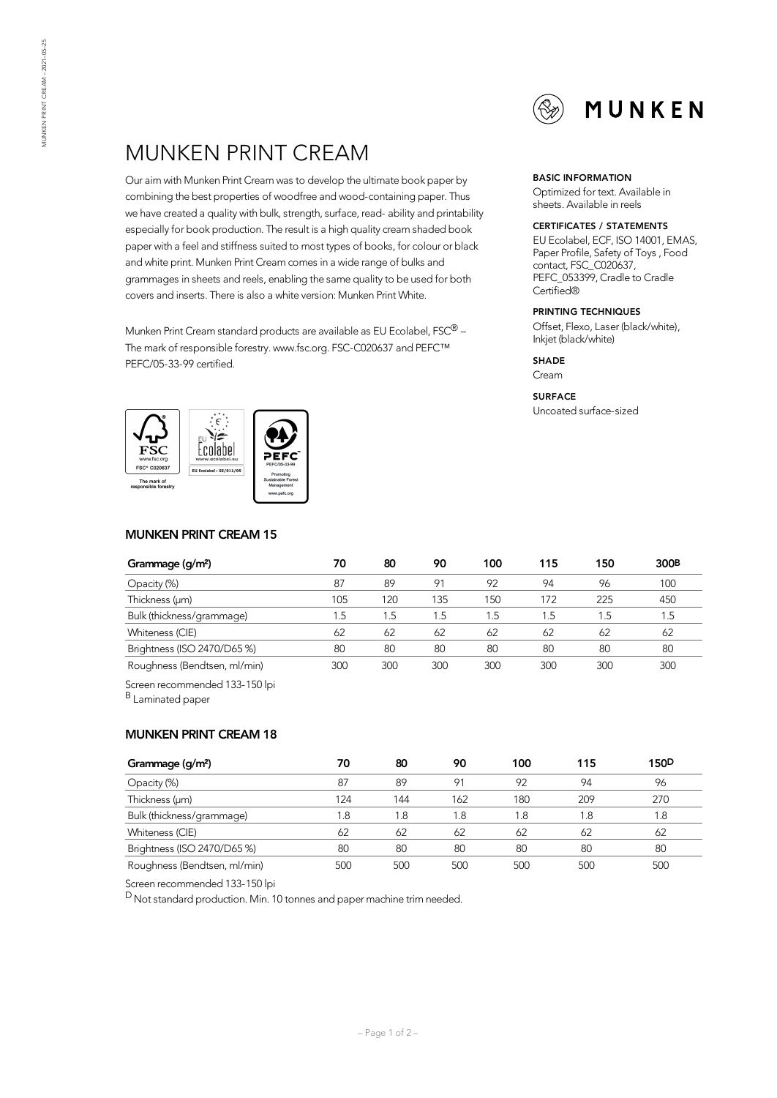

# MUNKEN PRINT CREAM

Our aim with Munken Print Cream was to develop the ultimate book paper by combining the best properties of woodfree and wood-containing paper. Thus we have created a quality with bulk, strength, surface, read- ability and printability especially for book production. The result is a high quality cream shaded book paper with a feel and stiffness suited to most types of books, for colour or black and white print. Munken Print Cream comes in a wide range of bulks and grammages in sheets and reels, enabling the same qualityto be used for both covers and inserts. There is also a white version: Munken PrintWhite.

Munken Print Cream standard products are available as EU Ecolabel, FSC $^{\circledR}$  – The mark of responsible forestry. www.fsc.org. FSC-C020637 and PEFC™ PEFC/05-33-99 certified.



## **MUNKEN PRINT CREAM 15**

| Grammage (g/m <sup>2</sup> ) | 70  | 80  | 90  | 100 | 115  | 150     | 300 <sub>B</sub> |
|------------------------------|-----|-----|-----|-----|------|---------|------------------|
| Opacity (%)                  | 87  | 89  | 91  | 92  | 94   | 96      | 100              |
| Thickness (µm)               | 105 | 120 | 135 | 150 | 172  | 225     | 450              |
| Bulk (thickness/grammage)    | 1.5 | 1.5 | 1.5 | 1.5 | . .5 | $1.5\,$ | 1.5              |
| Whiteness (CIE)              | 62  | 62  | 62  | 62  | 62   | 62      | 62               |
| Brightness (ISO 2470/D65 %)  | 80  | 80  | 80  | 80  | 80   | 80      | 80               |
| Roughness (Bendtsen, ml/min) | 300 | 300 | 300 | 300 | 300  | 300     | 300              |

Screen recommended 133-150 lpi

B Laminated paper

## **MUNKEN PRINT CREAM 18**

| Grammage (g/m <sup>2</sup> ) | 70  | 80  | 90  | 100 | 115 | 150 <sub>D</sub> |
|------------------------------|-----|-----|-----|-----|-----|------------------|
| Opacity (%)                  | 87  | 89  | 91  | 92  | 94  | 96               |
| Thickness (um)               | 124 | 144 | 162 | 180 | 209 | 270              |
| Bulk (thickness/grammage)    | 1.8 | 1.8 | 1.8 | 1.8 | 1.8 | l.8              |
| Whiteness (CIE)              | 62  | 62  | 62  | 62  | 62  | 62               |
| Brightness (ISO 2470/D65 %)  | 80  | 80  | 80  | 80  | 80  | 80               |
| Roughness (Bendtsen, ml/min) | 500 | 500 | 500 | 500 | 500 | 500              |

Screen recommended 133-150 lpi

 $D$  Not standard production. Min. 10 tonnes and paper machine trim needed.

#### **BASIC INFORMATION**

Optimized for text. Available in sheets. Available in reels

#### **CERTIFICATES / STATEMENTS**

EU Ecolabel, ECF, ISO 14001, EMAS, Paper Profile, Safety of Toys , Food contact, FSC\_C020637, PEFC\_053399, Cradle to Cradle Certified®

#### **PRINTING TECHNIQUES**

Offset, Flexo, Laser (black/white), Inkjet (black/white)

#### **SHADE**

Cream

#### **SURFACE**

Uncoated surface-sized